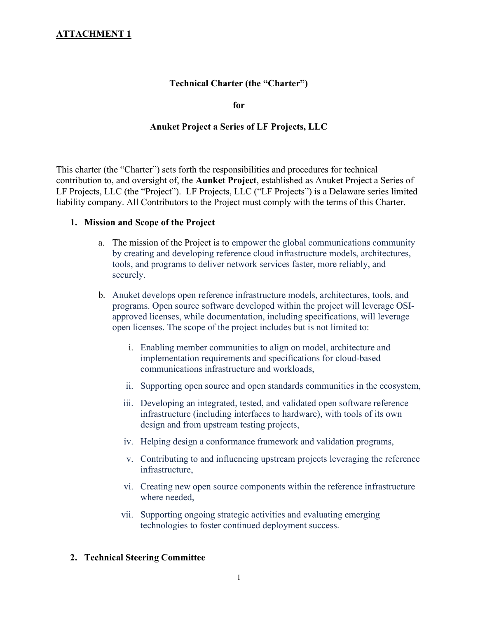# Technical Charter (the "Charter")

for

#### Anuket Project a Series of LF Projects, LLC

This charter (the "Charter") sets forth the responsibilities and procedures for technical contribution to, and oversight of, the Aunket Project, established as Anuket Project a Series of LF Projects, LLC (the "Project"). LF Projects, LLC ("LF Projects") is a Delaware series limited liability company. All Contributors to the Project must comply with the terms of this Charter.

#### 1. Mission and Scope of the Project

- a. The mission of the Project is to empower the global communications community by creating and developing reference cloud infrastructure models, architectures, tools, and programs to deliver network services faster, more reliably, and securely.
- b. Anuket develops open reference infrastructure models, architectures, tools, and programs. Open source software developed within the project will leverage OSIapproved licenses, while documentation, including specifications, will leverage open licenses. The scope of the project includes but is not limited to:
	- i. Enabling member communities to align on model, architecture and implementation requirements and specifications for cloud-based communications infrastructure and workloads,
	- ii. Supporting open source and open standards communities in the ecosystem,
	- iii. Developing an integrated, tested, and validated open software reference infrastructure (including interfaces to hardware), with tools of its own design and from upstream testing projects,
	- iv. Helping design a conformance framework and validation programs,
	- v. Contributing to and influencing upstream projects leveraging the reference infrastructure,
	- vi. Creating new open source components within the reference infrastructure where needed,
	- vii. Supporting ongoing strategic activities and evaluating emerging technologies to foster continued deployment success.

#### 2. Technical Steering Committee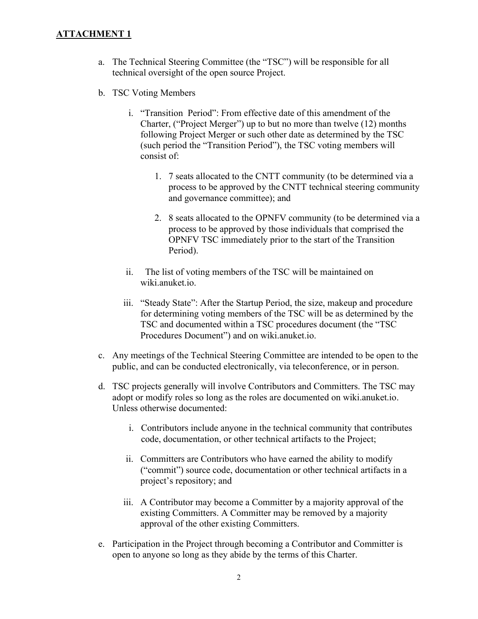- a. The Technical Steering Committee (the "TSC") will be responsible for all technical oversight of the open source Project.
- b. TSC Voting Members
	- i. "Transition Period": From effective date of this amendment of the Charter, ("Project Merger") up to but no more than twelve (12) months following Project Merger or such other date as determined by the TSC (such period the "Transition Period"), the TSC voting members will consist of:
		- 1. 7 seats allocated to the CNTT community (to be determined via a process to be approved by the CNTT technical steering community and governance committee); and
		- 2. 8 seats allocated to the OPNFV community (to be determined via a process to be approved by those individuals that comprised the OPNFV TSC immediately prior to the start of the Transition Period).
	- ii. The list of voting members of the TSC will be maintained on wiki.anuket.io.
	- iii. "Steady State": After the Startup Period, the size, makeup and procedure for determining voting members of the TSC will be as determined by the TSC and documented within a TSC procedures document (the "TSC Procedures Document") and on wiki.anuket.io.
- c. Any meetings of the Technical Steering Committee are intended to be open to the public, and can be conducted electronically, via teleconference, or in person.
- d. TSC projects generally will involve Contributors and Committers. The TSC may adopt or modify roles so long as the roles are documented on wiki.anuket.io. Unless otherwise documented:
	- i. Contributors include anyone in the technical community that contributes code, documentation, or other technical artifacts to the Project;
	- ii. Committers are Contributors who have earned the ability to modify ("commit") source code, documentation or other technical artifacts in a project's repository; and
	- iii. A Contributor may become a Committer by a majority approval of the existing Committers. A Committer may be removed by a majority approval of the other existing Committers.
- e. Participation in the Project through becoming a Contributor and Committer is open to anyone so long as they abide by the terms of this Charter.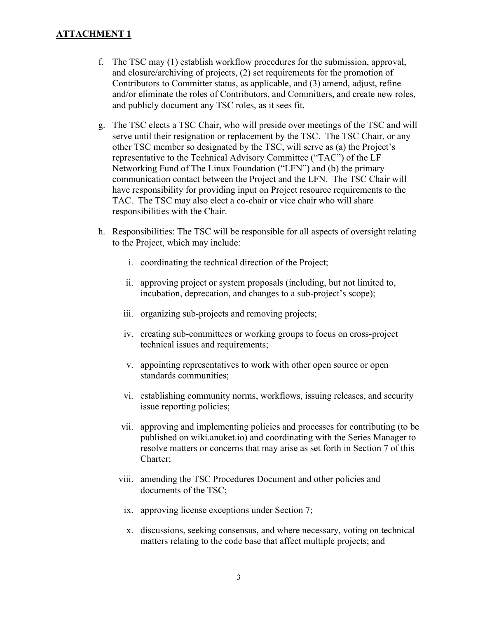- f. The TSC may (1) establish workflow procedures for the submission, approval, and closure/archiving of projects, (2) set requirements for the promotion of Contributors to Committer status, as applicable, and (3) amend, adjust, refine and/or eliminate the roles of Contributors, and Committers, and create new roles, and publicly document any TSC roles, as it sees fit.
- g. The TSC elects a TSC Chair, who will preside over meetings of the TSC and will serve until their resignation or replacement by the TSC. The TSC Chair, or any other TSC member so designated by the TSC, will serve as (a) the Project's representative to the Technical Advisory Committee ("TAC") of the LF Networking Fund of The Linux Foundation ("LFN") and (b) the primary communication contact between the Project and the LFN. The TSC Chair will have responsibility for providing input on Project resource requirements to the TAC. The TSC may also elect a co-chair or vice chair who will share responsibilities with the Chair.
- h. Responsibilities: The TSC will be responsible for all aspects of oversight relating to the Project, which may include:
	- i. coordinating the technical direction of the Project;
	- ii. approving project or system proposals (including, but not limited to, incubation, deprecation, and changes to a sub-project's scope);
	- iii. organizing sub-projects and removing projects;
	- iv. creating sub-committees or working groups to focus on cross-project technical issues and requirements;
	- v. appointing representatives to work with other open source or open standards communities;
	- vi. establishing community norms, workflows, issuing releases, and security issue reporting policies;
	- vii. approving and implementing policies and processes for contributing (to be published on wiki.anuket.io) and coordinating with the Series Manager to resolve matters or concerns that may arise as set forth in Section 7 of this Charter;
	- viii. amending the TSC Procedures Document and other policies and documents of the TSC;
		- ix. approving license exceptions under Section 7;
		- x. discussions, seeking consensus, and where necessary, voting on technical matters relating to the code base that affect multiple projects; and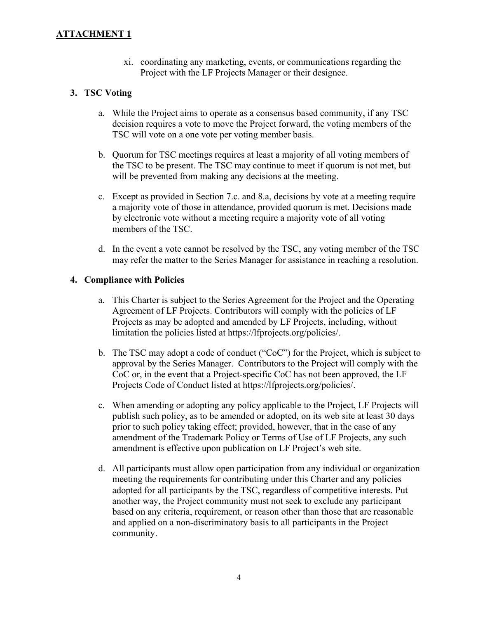xi. coordinating any marketing, events, or communications regarding the Project with the LF Projects Manager or their designee.

## 3. TSC Voting

- a. While the Project aims to operate as a consensus based community, if any TSC decision requires a vote to move the Project forward, the voting members of the TSC will vote on a one vote per voting member basis.
- b. Quorum for TSC meetings requires at least a majority of all voting members of the TSC to be present. The TSC may continue to meet if quorum is not met, but will be prevented from making any decisions at the meeting.
- c. Except as provided in Section 7.c. and 8.a, decisions by vote at a meeting require a majority vote of those in attendance, provided quorum is met. Decisions made by electronic vote without a meeting require a majority vote of all voting members of the TSC.
- d. In the event a vote cannot be resolved by the TSC, any voting member of the TSC may refer the matter to the Series Manager for assistance in reaching a resolution.

## 4. Compliance with Policies

- a. This Charter is subject to the Series Agreement for the Project and the Operating Agreement of LF Projects. Contributors will comply with the policies of LF Projects as may be adopted and amended by LF Projects, including, without limitation the policies listed at https://lfprojects.org/policies/.
- b. The TSC may adopt a code of conduct ("CoC") for the Project, which is subject to approval by the Series Manager. Contributors to the Project will comply with the CoC or, in the event that a Project-specific CoC has not been approved, the LF Projects Code of Conduct listed at https://lfprojects.org/policies/.
- c. When amending or adopting any policy applicable to the Project, LF Projects will publish such policy, as to be amended or adopted, on its web site at least 30 days prior to such policy taking effect; provided, however, that in the case of any amendment of the Trademark Policy or Terms of Use of LF Projects, any such amendment is effective upon publication on LF Project's web site.
- d. All participants must allow open participation from any individual or organization meeting the requirements for contributing under this Charter and any policies adopted for all participants by the TSC, regardless of competitive interests. Put another way, the Project community must not seek to exclude any participant based on any criteria, requirement, or reason other than those that are reasonable and applied on a non-discriminatory basis to all participants in the Project community.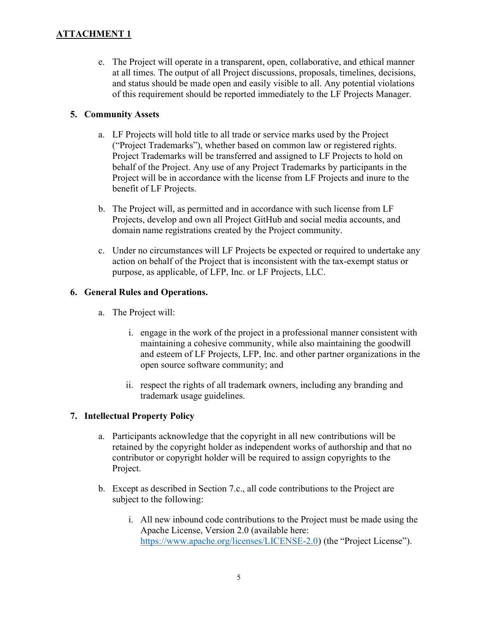e. The Project will operate in a transparent, open, collaborative, and ethical manner at all times. The output of all Project discussions, proposals, timelines, decisions, and status should be made open and easily visible to all. Any potential violations of this requirement should be reported immediately to the LF Projects Manager.

# 5. Community Assets

- a. LF Projects will hold title to all trade or service marks used by the Project ("Project Trademarks"), whether based on common law or registered rights. Project Trademarks will be transferred and assigned to LF Projects to hold on behalf of the Project. Any use of any Project Trademarks by participants in the Project will be in accordance with the license from LF Projects and inure to the benefit of LF Projects.
- b. The Project will, as permitted and in accordance with such license from LF Projects, develop and own all Project GitHub and social media accounts, and domain name registrations created by the Project community.
- c. Under no circumstances will LF Projects be expected or required to undertake any action on behalf of the Project that is inconsistent with the tax-exempt status or purpose, as applicable, of LFP, Inc. or LF Projects, LLC.

## 6. General Rules and Operations.

- a. The Project will:
	- i. engage in the work of the project in a professional manner consistent with maintaining a cohesive community, while also maintaining the goodwill and esteem of LF Projects, LFP, Inc. and other partner organizations in the open source software community; and
	- ii. respect the rights of all trademark owners, including any branding and trademark usage guidelines.

# 7. Intellectual Property Policy

- a. Participants acknowledge that the copyright in all new contributions will be retained by the copyright holder as independent works of authorship and that no contributor or copyright holder will be required to assign copyrights to the Project.
- b. Except as described in Section 7.c., all code contributions to the Project are subject to the following:
	- i. All new inbound code contributions to the Project must be made using the Apache License, Version 2.0 (available here: https://www.apache.org/licenses/LICENSE-2.0) (the "Project License").